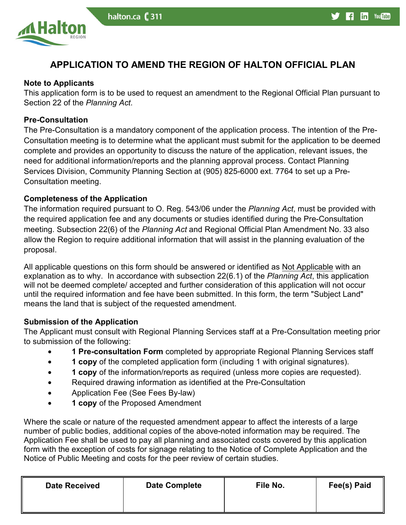

# **APPLICATION TO AMEND THE REGION OF HALTON OFFICIAL PLAN**

halton.ca ( 311

### **Note to Applicants**

This application form is to be used to request an amendment to the Regional Official Plan pursuant to Section 22 of the *Planning Act*.

### **Pre-Consultation**

The Pre-Consultation is a mandatory component of the application process. The intention of the Pre-Consultation meeting is to determine what the applicant must submit for the application to be deemed complete and provides an opportunity to discuss the nature of the application, relevant issues, the need for additional information/reports and the planning approval process. Contact Planning Services Division, Community Planning Section at (905) 825-6000 ext. 7764 to set up a Pre-Consultation meeting.

### **Completeness of the Application**

The information required pursuant to O. Reg. 543/06 under the *Planning Act*, must be provided with the required application fee and any documents or studies identified during the Pre-Consultation meeting. Subsection 22(6) of the *Planning Act* and Regional Official Plan Amendment No. 33 also allow the Region to require additional information that will assist in the planning evaluation of the proposal.

 will not be deemed complete/ accepted and further consideration of this application will not occur All applicable questions on this form should be answered or identified as Not Applicable with an explanation as to why. In accordance with subsection 22(6.1) of the *Planning Act*, this application until the required information and fee have been submitted. In this form, the term "Subject Land" means the land that is subject of the requested amendment.

## **Submission of the Application**

The Applicant must consult with Regional Planning Services staff at a Pre-Consultation meeting prior to submission of the following:

- **1 Pre-consultation Form** completed by appropriate Regional Planning Services staff
- **1 copy** of the completed application form (including 1 with original signatures).
- **1 copy** of the information/reports as required (unless more copies are requested).
- Required drawing information as identified at the Pre-Consultation
- Application Fee (See Fees By-law)
- **1 copy** of the Proposed Amendment

 form with the exception of costs for signage relating to the Notice of Complete Application and the Where the scale or nature of the requested amendment appear to affect the interests of a large number of public bodies, additional copies of the above-noted information may be required. The Application Fee shall be used to pay all planning and associated costs covered by this application Notice of Public Meeting and costs for the peer review of certain studies.

| <b>Date Received</b> | <b>Date Complete</b> | File No. | Fee(s) Paid |
|----------------------|----------------------|----------|-------------|
|                      |                      |          |             |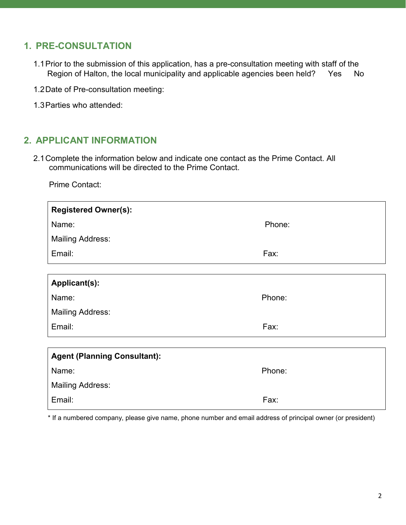# **1. PRE-CONSULTATION**

- Region of Halton, the local municipality and applicable agencies been held? Yes No 1.1Prior to the submission of this application, has a pre-consultation meeting with staff of the
- 1.2Date of Pre-consultation meeting:
- 1.3Parties who attended:

## **2. APPLICANT INFORMATION**

2.1Complete the information below and indicate one contact as the Prime Contact. All communications will be directed to the Prime Contact.

Prime Contact:

| <b>Registered Owner(s):</b>         |        |
|-------------------------------------|--------|
| Name:                               | Phone: |
| <b>Mailing Address:</b>             |        |
| Email:                              | Fax:   |
|                                     |        |
| Applicant(s):                       |        |
| Name:                               | Phone: |
| <b>Mailing Address:</b>             |        |
| Email:                              | Fax:   |
|                                     |        |
| <b>Agent (Planning Consultant):</b> |        |
| Name:                               | Phone: |
| <b>Mailing Address:</b>             |        |
| Email:                              | Fax:   |
|                                     |        |

\* If a numbered company, please give name, phone number and email address of principal owner (or president)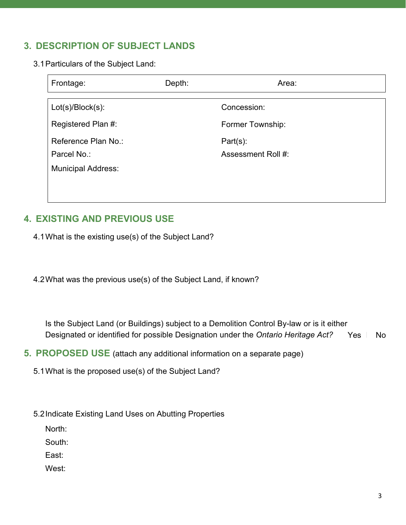# **3. DESCRIPTION OF SUBJECT LANDS**

3.1Particulars of the Subject Land:

| Frontage:                                                       | Depth: | Area:                             |
|-----------------------------------------------------------------|--------|-----------------------------------|
| $Lot(s)/Block(s)$ :                                             |        | Concession:                       |
| Registered Plan #:                                              |        | Former Township:                  |
| Reference Plan No.:<br>Parcel No.:<br><b>Municipal Address:</b> |        | $Part(s)$ :<br>Assessment Roll #: |

# **4. EXISTING AND PREVIOUS USE**

4.1What is the existing use(s) of the Subject Land?

4.2What was the previous use(s) of the Subject Land, if known?

 Designated or identified for possible Designation under the *Ontario Heritage Act?* ☐ Yes ☐ No Is the Subject Land (or Buildings) subject to a Demolition Control By-law or is it either

- **5. PROPOSED USE** (attach any additional information on a separate page)
	- 5.1What is the proposed use(s) of the Subject Land?
	- 5.2Indicate Existing Land Uses on Abutting Properties

North:

South:

East:

West: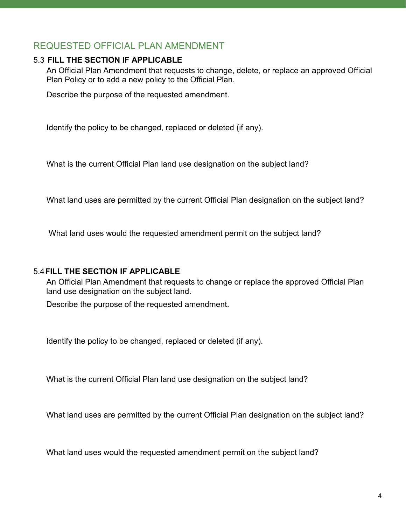## REQUESTED OFFICIAL PLAN AMENDMENT

### 5.3 **FILL THE SECTION IF APPLICABLE**

 An Official Plan Amendment that requests to change, delete, or replace an approved Official Plan Policy or to add a new policy to the Official Plan.

Describe the purpose of the requested amendment.

Identify the policy to be changed, replaced or deleted (if any).

What is the current Official Plan land use designation on the subject land?

What land uses are permitted by the current Official Plan designation on the subject land?

What land uses would the requested amendment permit on the subject land?

### 5.4**FILL THE SECTION IF APPLICABLE**

An Official Plan Amendment that requests to change or replace the approved Official Plan land use designation on the subject land.

Describe the purpose of the requested amendment.

Identify the policy to be changed, replaced or deleted (if any).

What is the current Official Plan land use designation on the subject land?

What land uses are permitted by the current Official Plan designation on the subject land?

What land uses would the requested amendment permit on the subject land?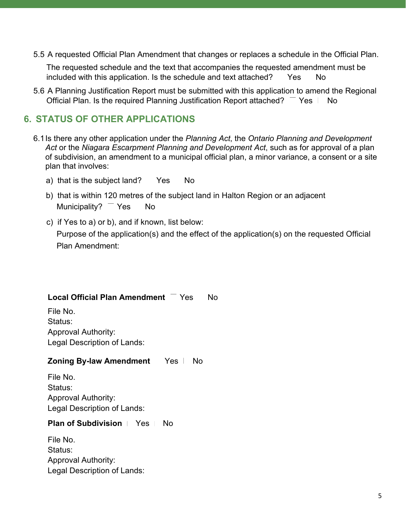5.5 A requested Official Plan Amendment that changes or replaces a schedule in the Official Plan.

included with this application. Is the schedule and text attached? Yes No **Yes** The requested schedule and the text that accompanies the requested amendment must be

 5.6 A Planning Justification Report must be submitted with this application to amend the Regional Official Plan. Is the required Planning Justification Report attached? Yes  $\Box$  No Yes No

## **6. STATUS OF OTHER APPLICATIONS**

- 5.5 A requested Official Plan Amendment that changes or replaces a schedule in the Official Plan.<br>The requested schedule and the text that accompanies the requested amendment matibe<br>included with this application. Is the s 6.1Is there any other application under the *Planning Act*, the *Ontario Planning and Development Act* or the *Niagara Escarpment Planning and Development Act*, such as for approval of a plan of subdivision, an amendment to a municipal official plan, a minor variance, a consent or a site plan that involves:
	- a) that is the subject land? Yes No
	- b) that is within 120 metres of the subject land in Halton Region or an adjacent Municipality?  $\overline{\phantom{a}}$  Yes No
	- c) if Yes to a) or b), and if known, list below:

Purpose of the application(s) and the effect of the application(s) on the requested Official Plan Amendment:

#### **Local Official Plan Amendment** Yes No

File No. Status: Approval Authority: Legal Description of Lands:

#### **Zoning By-law Amendment** Yes No

 Legal Description of Lands: File No. Status: Approval Authority:

#### **Plan of Subdivision** | Yes No

File No. Status: Approval Authority: Legal Description of Lands: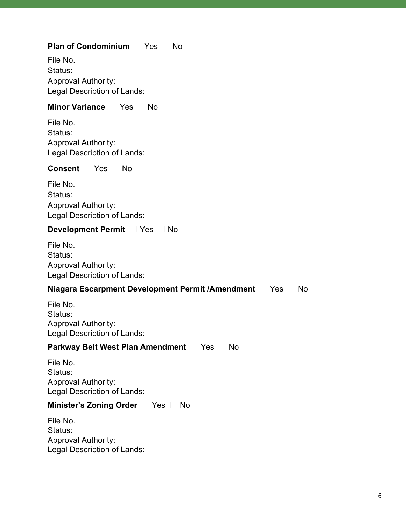## **Plan of Condominium** Yes No

File No. Status: Approval Authority: Legal Description of Lands:

### **Minor Variance** Yes No

File No. Status: Approval Authority: Legal Description of Lands:

#### **Consent Yes** No

File No. Status: Approval Authority: Legal Description of Lands:

### **Development Permit**  $\vert \ \vert$  Yes  $\vert \ \vert$  No

File No. Status: Approval Authority: Legal Description of Lands:

### **Niagara Escarpment Development Permit /Amendment** Yes No

File No. Status: Approval Authority: Legal Description of Lands:

#### **Parkway Belt West Plan Amendment** Yes No

File No. Status: Approval Authority: Legal Description of Lands:

### **Minister's Zoning Order** Yes No

File No. Status: Approval Authority: Legal Description of Lands: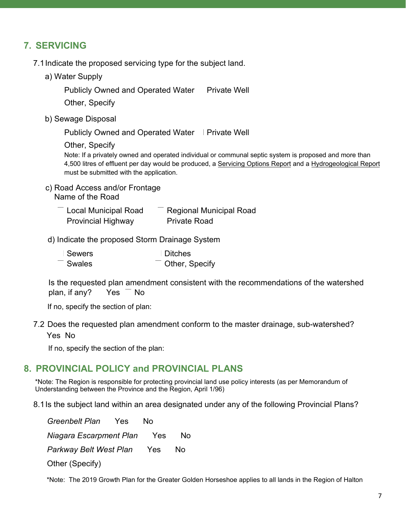# **7. SERVICING**

- 7.1Indicate the proposed servicing type for the subject land.
	- a) Water Supply

Publicly Owned and Operated Water Private Well

Other, Specify

b) Sewage Disposal

Publicly Owned and Operated Water ∣ Private Well

Other, Specify

Note: If a privately owned and operated individual or communal septic system is proposed and more than 4,500 litres of effluent per day would be produced, a Servicing Options Report and a Hydrogeological Report must be submitted with the application.

c) Road Access and/or Frontage Name of the Road

| Local Municipal Road      | <b>Regional Municipal Road</b> |
|---------------------------|--------------------------------|
| <b>Provincial Highway</b> | <b>Private Road</b>            |

d) Indicate the proposed Storm Drainage System

| <b>Sewers</b> | <b>Ditches</b> |
|---------------|----------------|
| Swales        | Other, Specify |

Is the requested plan amendment consistent with the recommendations of the watershed plan, if any? Yes No

If no, specify the section of plan:

7.2 Does the requested plan amendment conform to the master drainage, sub-watershed? Yes No

If no, specify the section of the plan:

## **8. PROVINCIAL POLICY and PROVINCIAL PLANS**

 \*Note: The Region is responsible for protecting provincial land use policy interests (as per Memorandum of Understanding between the Province and the Region, April 1/96)

8.1Is the subject land within an area designated under any of the following Provincial Plans?

 *Niagara Escarpment Plan* ☐ Yes ☐ No *Greenbelt Plan* Yes No *Parkway Belt West Plan* Yes No Other (Specify)

\*Note: The 2019 Growth Plan for the Greater Golden Horseshoe applies to all lands in the Region of Halton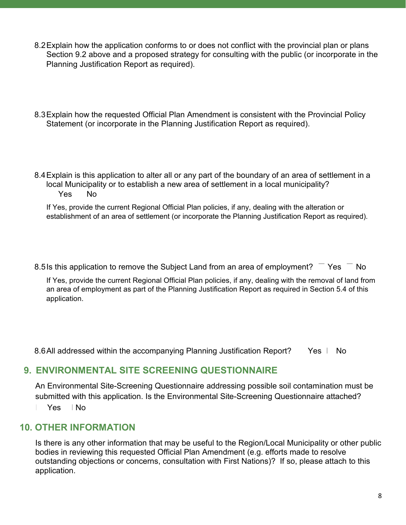- 8.2Explain how the application conforms to or does not conflict with the provincial plan or plans Section 9.2 above and a proposed strategy for consulting with the public (or incorporate in the Planning Justification Report as required).
- 8.3Explain how the requested Official Plan Amendment is consistent with the Provincial Policy Statement (or incorporate in the Planning Justification Report as required).
- 8.4Explain is this application to alter all or any part of the boundary of an area of settlement in a local Municipality or to establish a new area of settlement in a local municipality? Yes No

If Yes, provide the current Regional Official Plan policies, if any, dealing with the alteration or establishment of an area of settlement (or incorporate the Planning Justification Report as required).

Yes 8.5 Is this application to remove the Subject Land from an area of employment? Yes No

application. If Yes, provide the current Regional Official Plan policies, if any, dealing with the removal of land from an area of employment as part of the Planning Justification Report as required in Section 5.4 of this

Yes | 8.6All addressed within the accompanying Planning Justification Report? Yes No

## **9. ENVIRONMENTAL SITE SCREENING QUESTIONNAIRE**

An Environmental Site-Screening Questionnaire addressing possible soil contamination must be submitted with this application. Is the Environmental Site-Screening Questionnaire attached?

☐ Yes ☐ No

## **10. OTHER INFORMATION**

Is there is any other information that may be useful to the Region/Local Municipality or other public bodies in reviewing this requested Official Plan Amendment (e.g. efforts made to resolve outstanding objections or concerns, consultation with First Nations)? If so, please attach to this application.